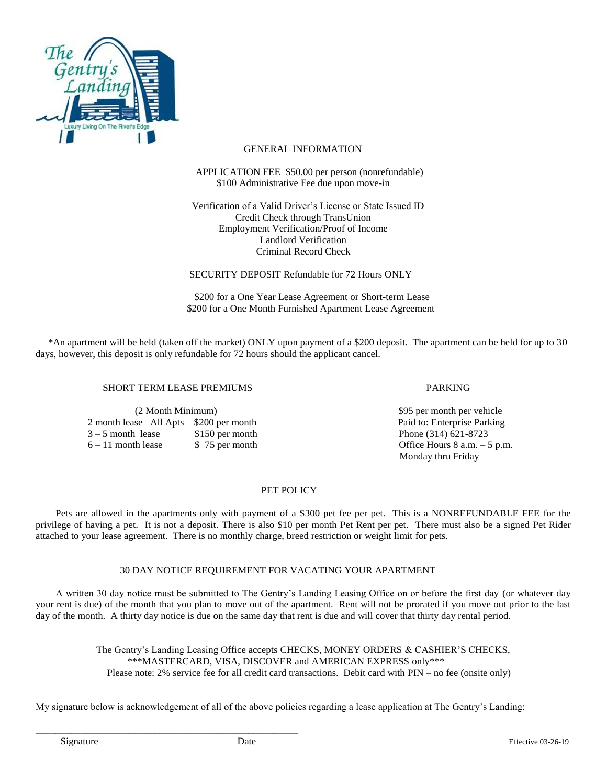

## GENERAL INFORMATION

## APPLICATION FEE \$50.00 per person (nonrefundable) \$100 Administrative Fee due upon move-in

 Verification of a Valid Driver's License or State Issued ID Credit Check through TransUnion Employment Verification/Proof of Income Landlord Verification Criminal Record Check

SECURITY DEPOSIT Refundable for 72 Hours ONLY

 \$200 for a One Year Lease Agreement or Short-term Lease \$200 for a One Month Furnished Apartment Lease Agreement

 \*An apartment will be held (taken off the market) ONLY upon payment of a \$200 deposit. The apartment can be held for up to 30 days, however, this deposit is only refundable for 72 hours should the applicant cancel.

### SHORT TERM LEASE PREMIUMS FARKING

 (2 Month Minimum) \$95 per month per vehicle 2 month lease All Apts \$200 per month Paid to: Enterprise Parking  $3 - 5$  month lease \$150 per month Phone (314) 621-8723<br>  $6 - 11$  month lease \$75 per month Office Hours 8 a.m.  $6 - 11$  month lease  $\frac{1}{2}$   $\frac{1}{2}$   $\frac{5}{2}$  per month  $\frac{5}{2}$   $\frac{5}{2}$   $\frac{25}{2}$   $\frac{25}{2}$   $\frac{25}{2}$   $\frac{25}{2}$   $\frac{25}{2}$   $\frac{25}{2}$   $\frac{25}{2}$   $\frac{25}{2}$   $\frac{25}{2}$   $\frac{25}{2}$   $\frac{25}{2}$   $\frac{25}{2}$   $\frac{25}{2}$ 

\_\_\_\_\_\_\_\_\_\_\_\_\_\_\_\_\_\_\_\_\_\_\_\_\_\_\_\_\_\_\_\_\_\_\_\_\_\_\_\_\_\_\_\_\_\_\_\_\_\_\_\_\_

Monday thru Friday

# PET POLICY

 Pets are allowed in the apartments only with payment of a \$300 pet fee per pet. This is a NONREFUNDABLE FEE for the privilege of having a pet. It is not a deposit. There is also \$10 per month Pet Rent per pet. There must also be a signed Pet Rider attached to your lease agreement. There is no monthly charge, breed restriction or weight limit for pets.

## 30 DAY NOTICE REQUIREMENT FOR VACATING YOUR APARTMENT

 A written 30 day notice must be submitted to The Gentry's Landing Leasing Office on or before the first day (or whatever day your rent is due) of the month that you plan to move out of the apartment. Rent will not be prorated if you move out prior to the last day of the month. A thirty day notice is due on the same day that rent is due and will cover that thirty day rental period.

> The Gentry's Landing Leasing Office accepts CHECKS, MONEY ORDERS & CASHIER'S CHECKS, \*\*\*MASTERCARD, VISA, DISCOVER and AMERICAN EXPRESS only\*\*\* Please note: 2% service fee for all credit card transactions. Debit card with PIN – no fee (onsite only)

My signature below is acknowledgement of all of the above policies regarding a lease application at The Gentry's Landing: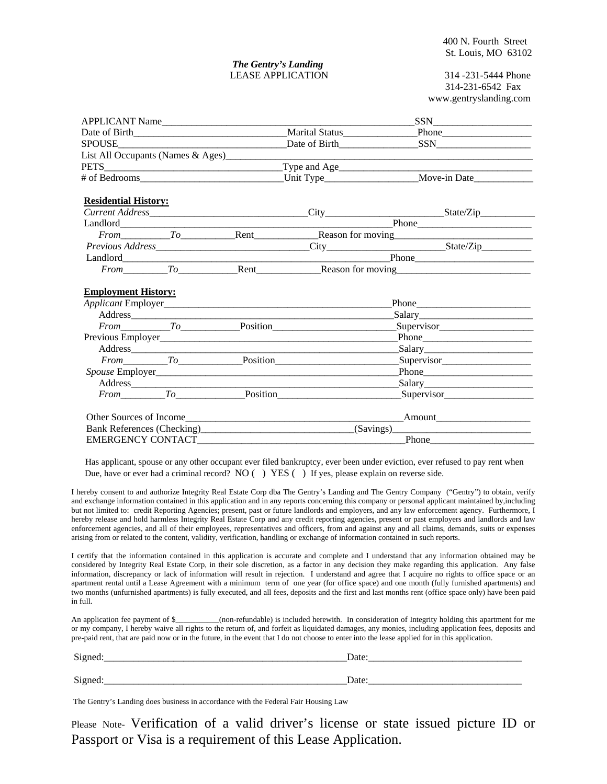#### *The Gentry's Landing*  LEASE APPLICATION 314 -231-5444 Phone

314-231-6542 Fax www.gentryslanding.com

| APPLICANT Name              |  | $SSN$                                                       |
|-----------------------------|--|-------------------------------------------------------------|
|                             |  |                                                             |
|                             |  |                                                             |
|                             |  |                                                             |
|                             |  |                                                             |
|                             |  |                                                             |
| <b>Residential History:</b> |  |                                                             |
|                             |  |                                                             |
|                             |  |                                                             |
|                             |  | From To Rent Reason for moving                              |
|                             |  |                                                             |
|                             |  |                                                             |
|                             |  | From To Rent Rent Reason for moving                         |
| <b>Employment History:</b>  |  |                                                             |
|                             |  |                                                             |
|                             |  | From To Position Position Supervisor                        |
|                             |  | Phone                                                       |
|                             |  |                                                             |
|                             |  | From To Position Position Supervisor                        |
|                             |  |                                                             |
|                             |  |                                                             |
|                             |  |                                                             |
|                             |  | From To Position Position Supervisor                        |
|                             |  |                                                             |
|                             |  | Bank References (Checking)<br><u>(Savings)</u><br>(Savings) |

 Has applicant, spouse or any other occupant ever filed bankruptcy, ever been under eviction, ever refused to pay rent when Due, have or ever had a criminal record? NO () YES () If yes, please explain on reverse side.

I hereby consent to and authorize Integrity Real Estate Corp dba The Gentry's Landing and The Gentry Company ("Gentry") to obtain, verify and exchange information contained in this application and in any reports concerning this company or personal applicant maintained by,including but not limited to: credit Reporting Agencies; present, past or future landlords and employers, and any law enforcement agency. Furthermore, I hereby release and hold harmless Integrity Real Estate Corp and any credit reporting agencies, present or past employers and landlords and law enforcement agencies, and all of their employees, representatives and officers, from and against any and all claims, demands, suits or expenses arising from or related to the content, validity, verification, handling or exchange of information contained in such reports.

I certify that the information contained in this application is accurate and complete and I understand that any information obtained may be considered by Integrity Real Estate Corp, in their sole discretion, as a factor in any decision they make regarding this application. Any false information, discrepancy or lack of information will result in rejection. I understand and agree that I acquire no rights to office space or an apartment rental until a Lease Agreement with a minimum term of one year (for office space) and one month (fully furnished apartments) and two months (unfurnished apartments) is fully executed, and all fees, deposits and the first and last months rent (office space only) have been paid in full.

An application fee payment of \$\_\_\_\_\_\_\_\_(non-refundable) is included herewith. In consideration of Integrity holding this apartment for me or my company, I hereby waive all rights to the return of, and forfeit as liquidated damages, any monies, including application fees, deposits and pre-paid rent, that are paid now or in the future, in the event that I do not choose to enter into the lease applied for in this application.

| $\sim$<br><b><i>CALCULA</i></b><br>້ | $\sqrt{ }$ |
|--------------------------------------|------------|
|                                      |            |
| $\sim$<br>້                          |            |

The Gentry's Landing does business in accordance with the Federal Fair Housing Law

Please Note- Verification of a valid driver's license or state issued picture ID or Passport or Visa is a requirement of this Lease Application.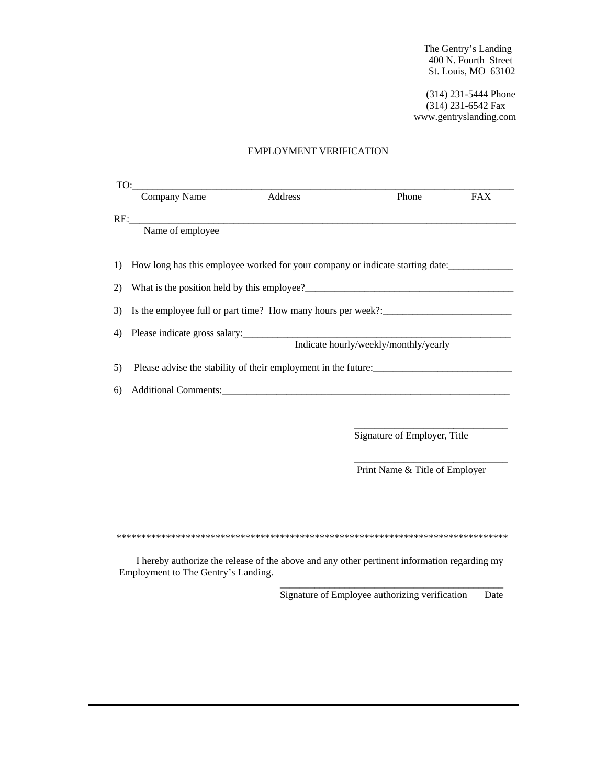The Gentry's Landing 400 N. Fourth Street St. Louis, MO 63102

 (314) 231-5444 Phone (314) 231-6542 Fax www.gentryslanding.com

#### EMPLOYMENT VERIFICATION

|     | Company Name            | Address | Phone                                                                                                                                                                                                                         | <b>FAX</b> |
|-----|-------------------------|---------|-------------------------------------------------------------------------------------------------------------------------------------------------------------------------------------------------------------------------------|------------|
|     |                         |         |                                                                                                                                                                                                                               |            |
|     | RE:<br>Name of employee |         |                                                                                                                                                                                                                               |            |
| 1)  |                         |         | How long has this employee worked for your company or indicate starting date:                                                                                                                                                 |            |
| (2) |                         |         |                                                                                                                                                                                                                               |            |
| 3)  |                         |         | Is the employee full or part time? How many hours per week?:_____________________                                                                                                                                             |            |
| 4)  |                         |         |                                                                                                                                                                                                                               |            |
|     |                         |         | Indicate hourly/weekly/monthly/yearly                                                                                                                                                                                         |            |
| 5)  |                         |         | Please advise the stability of their employment in the future:                                                                                                                                                                |            |
| 6)  |                         |         | Additional Comments: Universe of the Comments of the Comments of the Comments of the Comments of the Comments of the Comments of the Comments of the Comments of the Comments of the Comments of the Comments of the Comments |            |
|     |                         |         |                                                                                                                                                                                                                               |            |
|     |                         |         | Signature of Employer, Title                                                                                                                                                                                                  |            |
|     |                         |         | Print Name & Title of Employer                                                                                                                                                                                                |            |
|     |                         |         |                                                                                                                                                                                                                               |            |
|     |                         |         |                                                                                                                                                                                                                               |            |
|     |                         |         |                                                                                                                                                                                                                               |            |

 I hereby authorize the release of the above and any other pertinent information regarding my Employment to The Gentry's Landing.

 $\overline{\phantom{a}}$  , and the state of the state of the state of the state of the state of the state of the state of the state of the state of the state of the state of the state of the state of the state of the state of the stat

Signature of Employee authorizing verification Date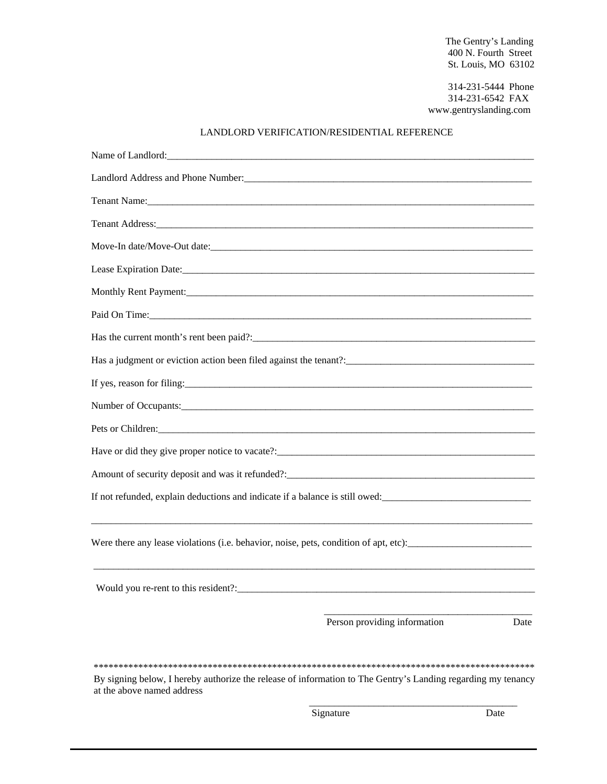The Gentry's Landing 400 N. Fourth Street St. Louis, MO 63102

> 314-231-5444 Phone 314-231-6542 FAX www.gentryslanding.com

# LANDLORD VERIFICATION/RESIDENTIAL REFERENCE

| Paid On Time:                                                                                                |      |
|--------------------------------------------------------------------------------------------------------------|------|
|                                                                                                              |      |
|                                                                                                              |      |
|                                                                                                              |      |
|                                                                                                              |      |
|                                                                                                              |      |
|                                                                                                              |      |
|                                                                                                              |      |
| If not refunded, explain deductions and indicate if a balance is still owed:                                 |      |
|                                                                                                              |      |
| Were there any lease violations (i.e. behavior, noise, pets, condition of apt, etc):                         |      |
|                                                                                                              |      |
| Would you re-rent to this resident?:                                                                         |      |
|                                                                                                              |      |
| Person providing information                                                                                 | Date |
|                                                                                                              |      |
| By signing below, I hereby authorize the release of information to The Gentry's Landing regarding my tenancy |      |
| at the above named address                                                                                   |      |

Signature Date